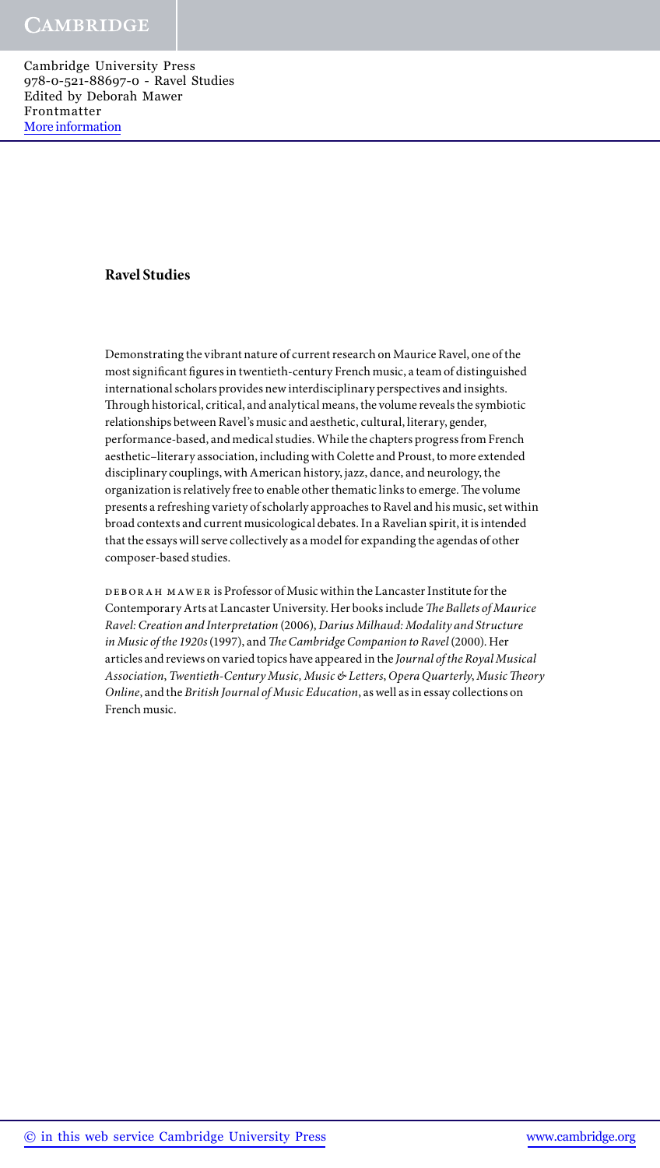#### **Ravel Studies**

Demonstrating the vibrant nature of current research on Maurice Ravel, one of the most significant figures in twentieth-century French music, a team of distinguished international scholars provides new interdisciplinary perspectives and insights. Through historical, critical, and analytical means, the volume reveals the symbiotic relationships between Ravel's music and aesthetic, cultural, literary, gender, performance-based, and medical studies. While the chapters progress from French aesthetic–literary association, including with Colette and Proust, to more extended disciplinary couplings, with American history, jazz, dance, and neurology, the organization is relatively free to enable other thematic links to emerge. The volume presents a refreshing variety of scholarly approaches to Ravel and his music, set within broad contexts and current musicological debates. In a Ravelian spirit, it is intended that the essays will serve collectively as a model for expanding the agendas of other composer-based studies.

DEBORAH MAWER is Professor of Music within the Lancaster Institute for the Contemporary Arts at Lancaster University. Her books include *The Ballets of Maurice Ravel: Creation and Interpretation* (2006), *Darius Milhaud: Modality and Structure in Music of the 1920s* (1997), and *The Cambridge Companion to Ravel* (2000). Her articles and reviews on varied topics have appeared in the *Journal of the Royal Musical Association*, *Twentieth-Century Music, Music & Letters*, *Opera Quarterly*, *Music Theory Online*, and the *British Journal of Music Education*, as well as in essay collections on French music.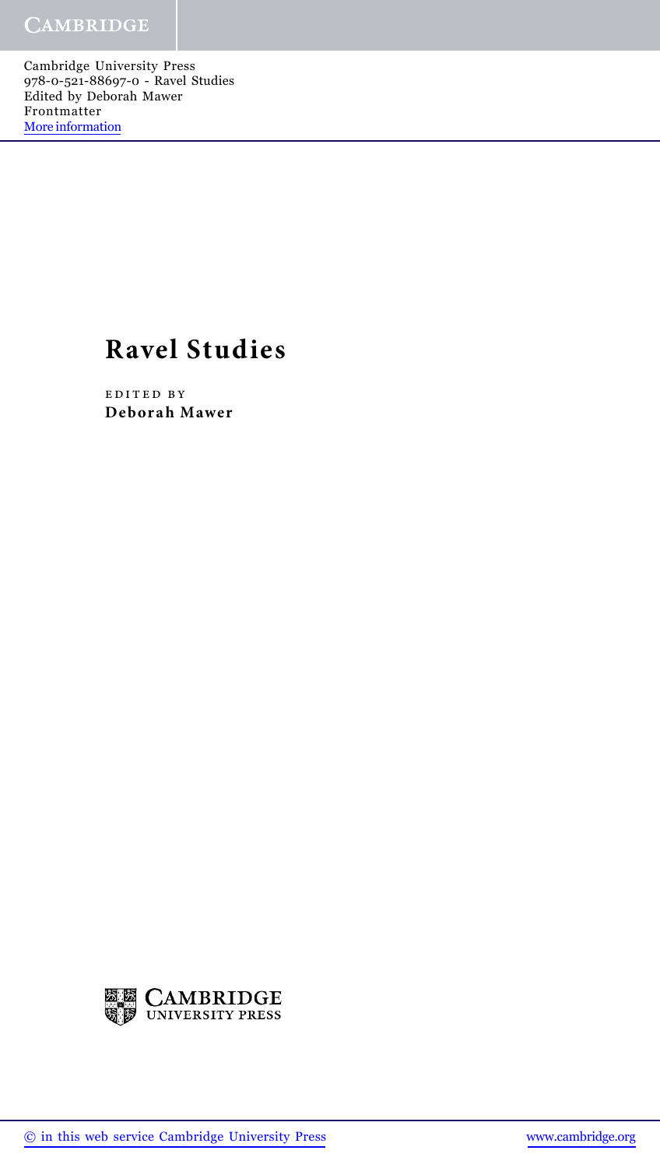# **Ravel Studies**

edited by **Deborah Mawer**

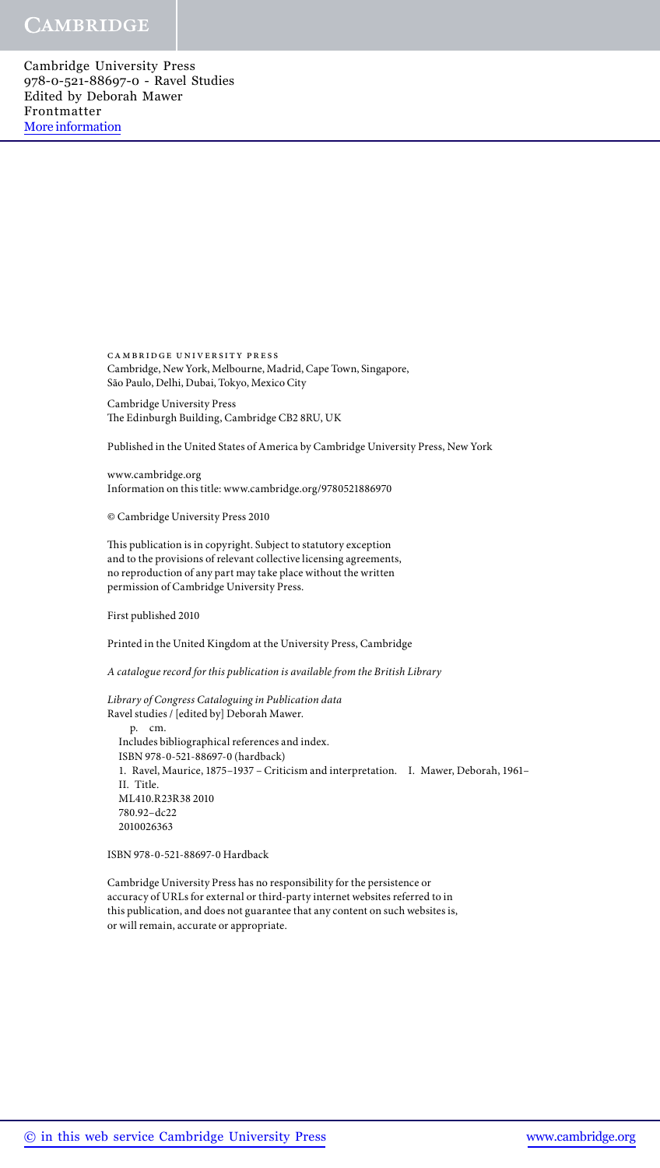> cambridge university press Cambridge, New York, Melbourne, Madrid, Cape Town, Singapore, São Paulo, Delhi, Dubai, Tokyo, Mexico City

Cambridge University Press The Edinburgh Building, Cambridge CB2 8RU, UK

Published in the United States of America by Cambridge University Press, New York

www.cambridge.org Information on this title: www.cambridge.org/9780521886970

© Cambridge University Press 2010

This publication is in copyright. Subject to statutory exception and to the provisions of relevant collective licensing agreements, no reproduction of any part may take place without the written permission of Cambridge University Press.

First published 2010

Printed in the United Kingdom at the University Press, Cambridge

*A catalogue record for this publication is available from the British Library*

*Library of Congress Cataloguing in Publication data* Ravel studies / [edited by] Deborah Mawer. p. cm. Includes bibliographical references and index. ISBN 978-0-521-88697-0 (hardback) 1. Ravel, Maurice, 1875–1937 – Criticism and interpretation. I. Mawer, Deborah, 1961– II. Title. ML410.R23R38 2010 780.92–dc22 2010026363

ISBN 978-0-521-88697-0 Hardback

Cambridge University Press has no responsibility for the persistence or accuracy of URLs for external or third-party internet websites referred to in this publication, and does not guarantee that any content on such websites is, or will remain, accurate or appropriate.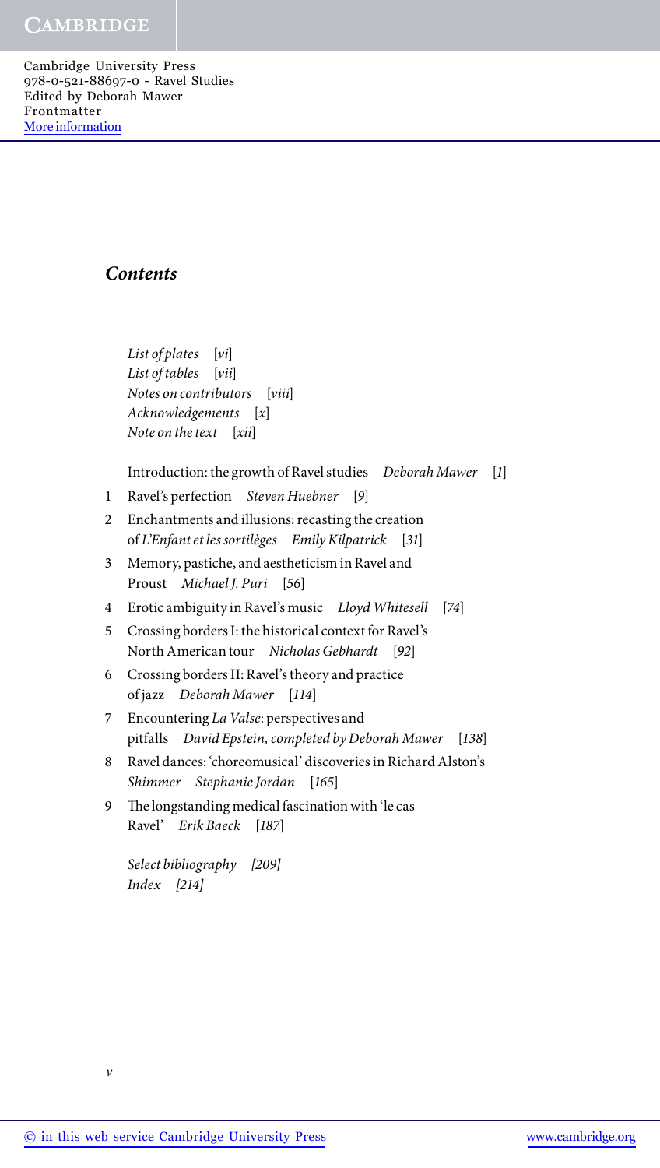## *Contents*

*List of plates* [*vi*] *List of tables* [*vii*] *Notes on contributors* [*viii*] *Acknowledgements* [*x*] *Note on the text* [*xii*]

Introduction: the growth of Ravel studies *Deborah Mawer* [*1*]

- 1 Ravel's perfection *Steven Huebner* [*9*]
- 2 Enchantments and illusions: recasting the creation of *L'Enfant et les sortilèges Emily Kilpatrick* [*31*]
- 3 Memory, pastiche, and aestheticism in Ravel and Proust *Michael J. Puri* [*56*]
- 4 Erotic ambiguity in Ravel's music *Lloyd Whitesell* [*74*]
- 5 Crossing borders I: the historical context for Ravel's North American tour *Nicholas Gebhardt* [*92*]
- 6 Crossing borders II: Ravel's theory and practice of jazz *Deborah Mawer* [*114*]
- 7 Encountering *La Valse*: perspectives and pitfalls *David Epstein, completed by Deborah Mawer* [*138*]
- 8 Ravel dances: 'choreomusical' discoveries in Richard Alston's *Shimmer Stephanie Jordan* [*165*]
- 9 The longstanding medical fascination with 'le cas Ravel' *Erik Baeck* [*187*]

*Select bibliography [209] Index [214]*

*v*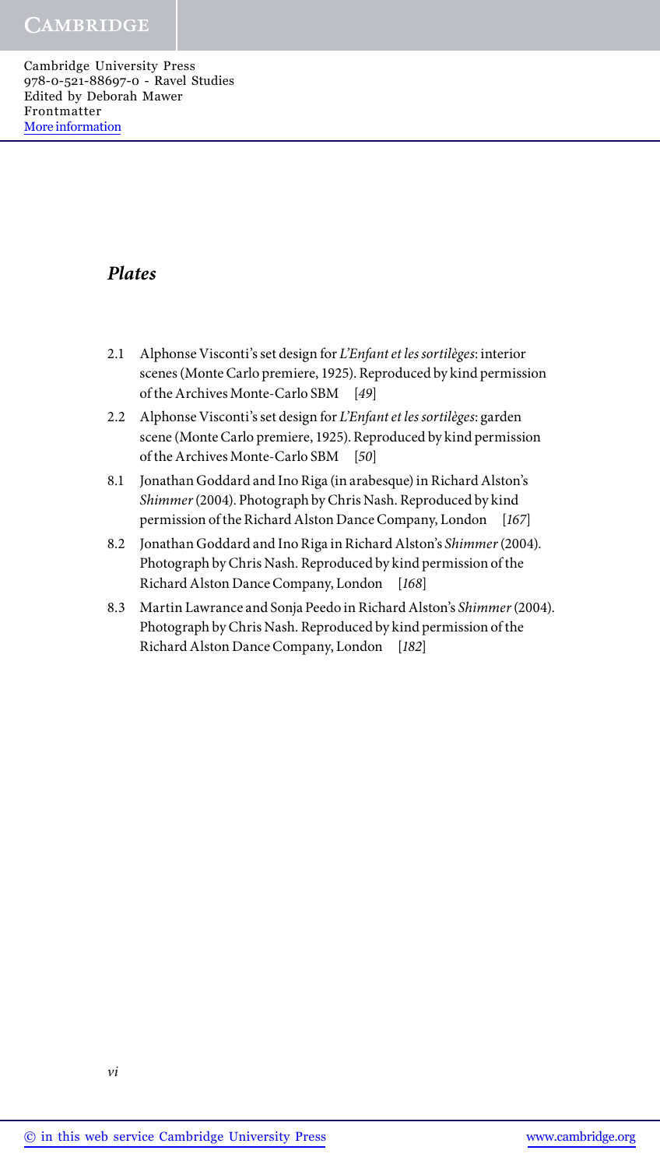## *Plates*

- 2.1 Alphonse Visconti's set design for *L'Enfant et les sortilèges*: interior scenes (Monte Carlo premiere, 1925). Reproduced by kind permission of the Archives Monte-Carlo SBM [*49*]
- 2.2 Alphonse Visconti's set design for *L'Enfant et les sortilèges*: garden scene (Monte Carlo premiere, 1925). Reproduced by kind permission of the Archives Monte-Carlo SBM [*50*]
- 8.1 Jonathan Goddard and Ino Riga (in arabesque) in Richard Alston's *Shimmer* (2004). Photograph by Chris Nash. Reproduced by kind permission of the Richard Alston Dance Company, London [*167*]
- 8.2 Jonathan Goddard and Ino Riga in Richard Alston's *Shimmer* (2004). Photograph by Chris Nash. Reproduced by kind permission of the Richard Alston Dance Company, London [*168*]
- 8.3 Martin Lawrance and Sonja Peedo in Richard Alston's *Shimmer* (2004). Photograph by Chris Nash. Reproduced by kind permission of the Richard Alston Dance Company, London [*182*]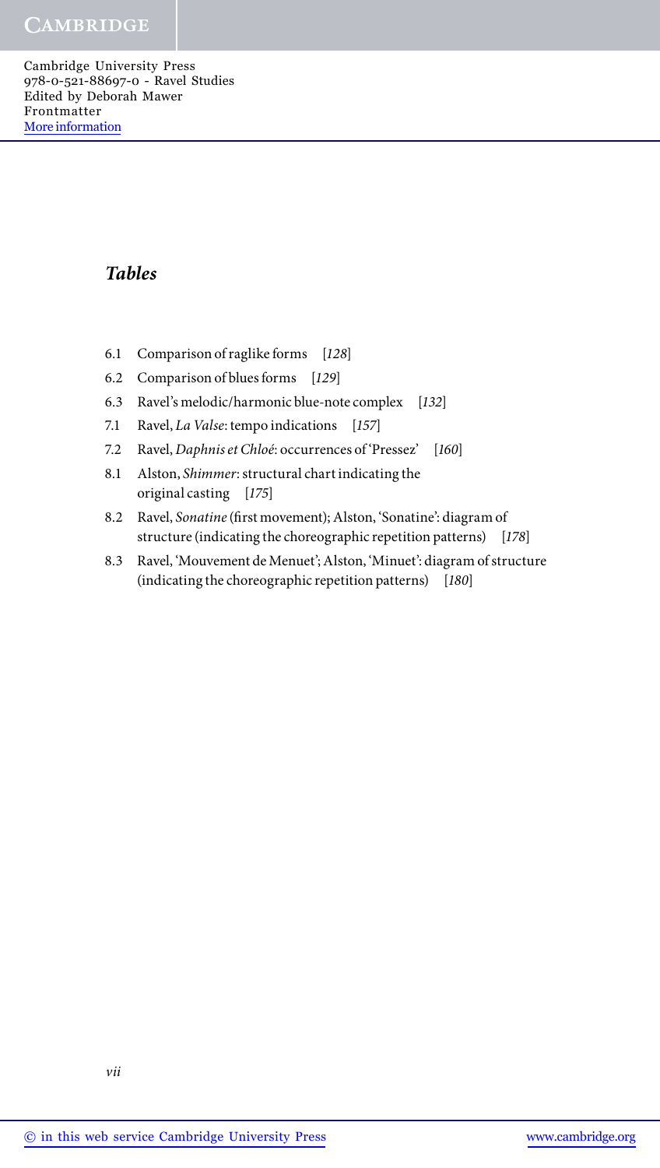# *Tables*

- 6.1 Comparison of raglike forms [*128*]
- 6.2 Comparison of blues forms [*129*]
- 6.3 Ravel's melodic/harmonic blue-note complex [*132*]
- 7.1 Ravel, *La Valse*: tempo indications [*157*]
- 7.2 Ravel, *Daphnis et Chloé*: occurrences of 'Pressez' [*160*]
- 8.1 Alston, *Shimmer*: structural chart indicating the original casting [*175*]
- 8.2 Ravel, *Sonatine* (first movement); Alston, 'Sonatine': diagram of structure (indicating the choreographic repetition patterns) [*178*]
- 8.3 Ravel, 'Mouvement de Menuet'; Alston, 'Minuet': diagram of structure (indicating the choreographic repetition patterns) [*180*]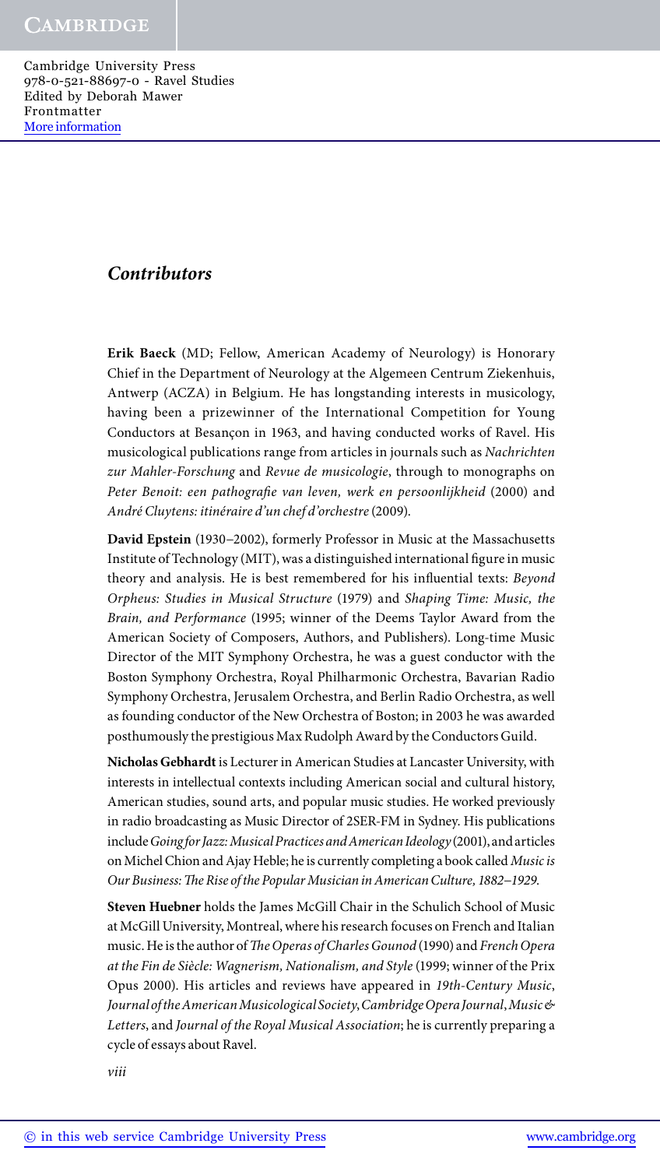## *Contributors*

**Erik Baeck** (MD; Fellow, American Academy of Neurology) is Honorary Chief in the Department of Neurology at the Algemeen Centrum Ziekenhuis, Antwerp (ACZA) in Belgium. He has longstanding interests in musicology, having been a prizewinner of the International Competition for Young Conductors at Besançon in 1963, and having conducted works of Ravel. His musicological publications range from articles in journals such as *Nachrichten zur Mahler-Forschung* and *Revue de musicologie*, through to monographs on *Peter Benoit: een pathografie van leven, werk en persoonlijkheid* (2000) and *André Cluytens: itinéraire d'un chef d'orchestre* (2009).

**David Epstein** (1930−2002), formerly Professor in Music at the Massachusetts Institute of Technology (MIT), was a distinguished international figure in music theory and analysis. He is best remembered for his influential texts: *Beyond Orpheus: Studies in Musical Structure* (1979) and *Shaping Time: Music, the Brain, and Performance* (1995; winner of the Deems Taylor Award from the American Society of Composers, Authors, and Publishers). Long-time Music Director of the MIT Symphony Orchestra, he was a guest conductor with the Boston Symphony Orchestra, Royal Philharmonic Orchestra, Bavarian Radio Symphony Orchestra, Jerusalem Orchestra, and Berlin Radio Orchestra, as well as founding conductor of the New Orchestra of Boston; in 2003 he was awarded posthumously the prestigious Max Rudolph Award by the Conductors Guild.

**Nicholas Gebhardt** is Lecturer in American Studies at Lancaster University, with interests in intellectual contexts including American social and cultural history, American studies, sound arts, and popular music studies. He worked previously in radio broadcasting as Music Director of 2SER-FM in Sydney. His publications include *Going for Jazz: Musical Practices and American Ideology* (2001), and articles on Michel Chion and Ajay Heble; he is currently completing a book called *Music is Our Business: The Rise of the Popular Musician in American Culture, 1882−1929*.

**Steven Huebner** holds the James McGill Chair in the Schulich School of Music at McGill University, Montreal, where his research focuses on French and Italian music. He is the author of *The Operas of Charles Gounod* (1990) and *French Opera at the Fin de Siècle: Wagnerism, Nationalism, and Style* (1999; winner of the Prix Opus 2000). His articles and reviews have appeared in *19th-Century Music*, *Journal of the American Musicological Society*,*Cambridge Opera Journal*,*Music & Letters*, and *Journal of the Royal Musical Association*; he is currently preparing a cycle of essays about Ravel.

*viii*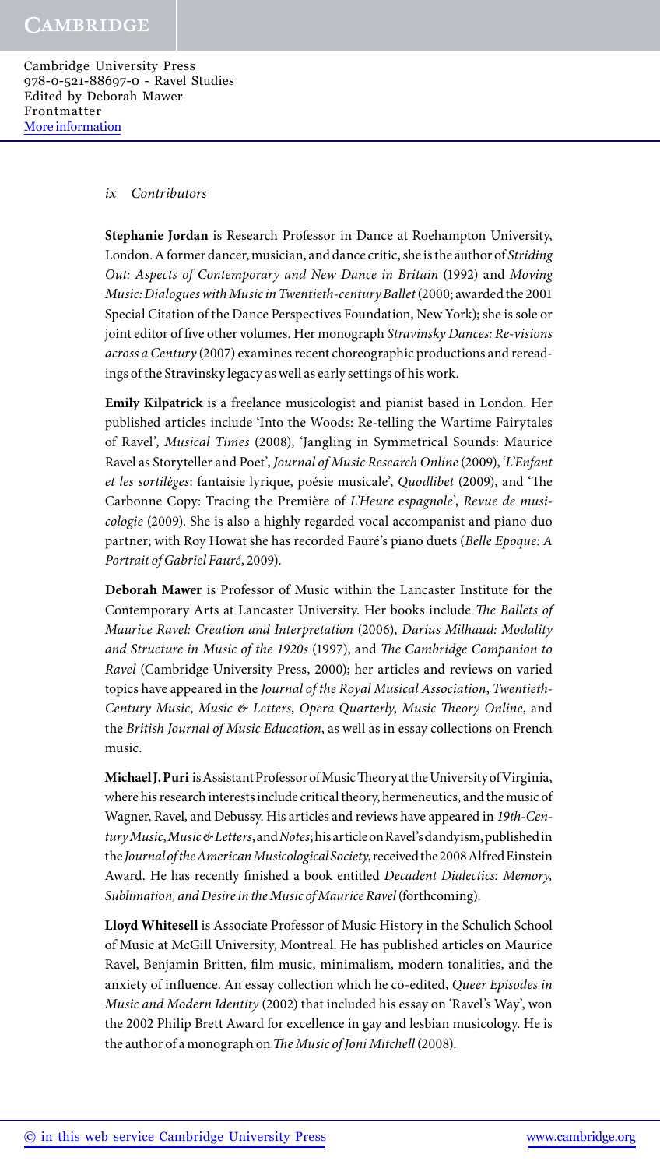#### *ix Contributors*

**Stephanie Jordan** is Research Professor in Dance at Roehampton University, London. A former dancer, musician, and dance critic, she is the author of *Striding Out: Aspects of Contemporary and New Dance in Britain* (1992) and *Moving Music: Dialogues with Music in Twentieth-century Ballet* (2000; awarded the 2001 Special Citation of the Dance Perspectives Foundation, New York); she is sole or joint editor of five other volumes. Her monograph *Stravinsky Dances: Re-visions across a Century* (2007) examines recent choreographic productions and rereadings of the Stravinsky legacy as well as early settings of his work.

**Emily Kilpatrick** is a freelance musicologist and pianist based in London. Her published articles include 'Into the Woods: Re-telling the Wartime Fairytales of Ravel', *Musical Times* (2008), 'Jangling in Symmetrical Sounds: Maurice Ravel as Storyteller and Poet', *Journal of Music Research Online* (2009), '*L'Enfant et les sortilèges*: fantaisie lyrique, poésie musicale', *Quodlibet* (2009), and 'The Carbonne Copy: Tracing the Première of *L'Heure espagnole*', *Revue de musicologie* (2009). She is also a highly regarded vocal accompanist and piano duo partner; with Roy Howat she has recorded Fauré's piano duets (*Belle Epoque: A Portrait of Gabriel Fauré*, 2009).

**Deborah Mawer** is Professor of Music within the Lancaster Institute for the Contemporary Arts at Lancaster University. Her books include *The Ballets of Maurice Ravel: Creation and Interpretation* (2006), *Darius Milhaud: Modality and Structure in Music of the 1920s* (1997), and *The Cambridge Companion to Ravel* (Cambridge University Press, 2000); her articles and reviews on varied topics have appeared in the *Journal of the Royal Musical Association*, *Twentieth-Century Music*, *Music & Letters*, *Opera Quarterly*, *Music Theory Online*, and the *British Journal of Music Education*, as well as in essay collections on French music.

**Michael J. Puri** is Assistant Professor of Music Theory at the University of Virginia, where his research interests include critical theory, hermeneutics, and the music of Wagner, Ravel, and Debussy. His articles and reviews have appeared in *19th-Century Music*,*Music & Letters*, and *Notes*; his article on Ravel's dandyism, published in the *Journal of the American Musicological Society*, received the 2008 Alfred Einstein Award. He has recently finished a book entitled *Decadent Dialectics: Memory, Sublimation, and Desire in the Music of Maurice Ravel* (forthcoming).

**Lloyd Whitesell** is Associate Professor of Music History in the Schulich School of Music at McGill University, Montreal. He has published articles on Maurice Ravel, Benjamin Britten, film music, minimalism, modern tonalities, and the anxiety of influence. An essay collection which he co-edited, *Queer Episodes in Music and Modern Identity* (2002) that included his essay on 'Ravel's Way', won the 2002 Philip Brett Award for excellence in gay and lesbian musicology. He is the author of a monograph on *The Music of Joni Mitchell* (2008).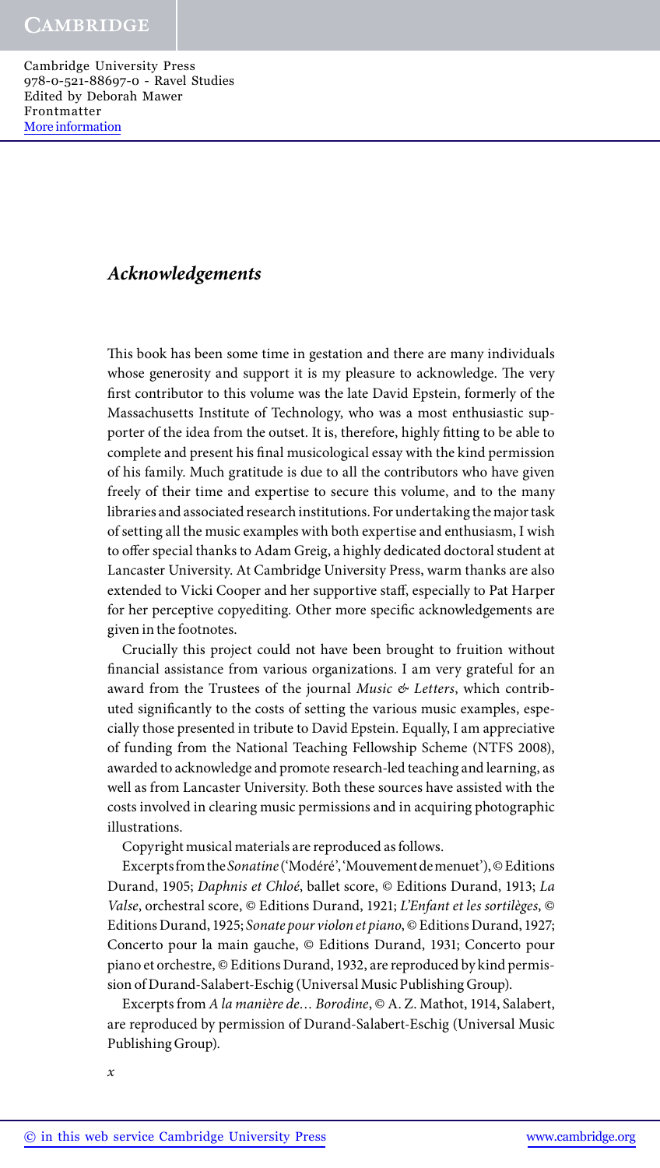### *Acknowledgements*

This book has been some time in gestation and there are many individuals whose generosity and support it is my pleasure to acknowledge. The very first contributor to this volume was the late David Epstein, formerly of the Massachusetts Institute of Technology, who was a most enthusiastic supporter of the idea from the outset. It is, therefore, highly fitting to be able to complete and present his final musicological essay with the kind permission of his family. Much gratitude is due to all the contributors who have given freely of their time and expertise to secure this volume, and to the many libraries and associated research institutions. For undertaking the major task of setting all the music examples with both expertise and enthusiasm, I wish to offer special thanks to Adam Greig, a highly dedicated doctoral student at Lancaster University. At Cambridge University Press, warm thanks are also extended to Vicki Cooper and her supportive staff, especially to Pat Harper for her perceptive copyediting. Other more specific acknowledgements are given in the footnotes.

Crucially this project could not have been brought to fruition without financial assistance from various organizations. I am very grateful for an award from the Trustees of the journal *Music & Letters*, which contributed significantly to the costs of setting the various music examples, especially those presented in tribute to David Epstein. Equally, I am appreciative of funding from the National Teaching Fellowship Scheme (NTFS 2008), awarded to acknowledge and promote research-led teaching and learning, as well as from Lancaster University. Both these sources have assisted with the costs involved in clearing music permissions and in acquiring photographic illustrations.

Copyright musical materials are reproduced as follows.

Excerpts from the *Sonatine* ('Modéré', 'Mouvement de menuet'), © Editions Durand, 1905; *Daphnis et Chloé*, ballet score, © Editions Durand, 1913; *La Valse*, orchestral score, © Editions Durand, 1921; *L'Enfant et les sortilèges*, © Editions Durand, 1925; *Sonate pour violon et piano*, © Editions Durand, 1927; Concerto pour la main gauche, © Editions Durand, 1931; Concerto pour piano et orchestre, © Editions Durand, 1932, are reproduced by kind permission of Durand-Salabert-Eschig (Universal Music Publishing Group).

Excerpts from *A la manière de… Borodine*, © A. Z. Mathot, 1914, Salabert, are reproduced by permission of Durand-Salabert-Eschig (Universal Music Publishing Group).

*x*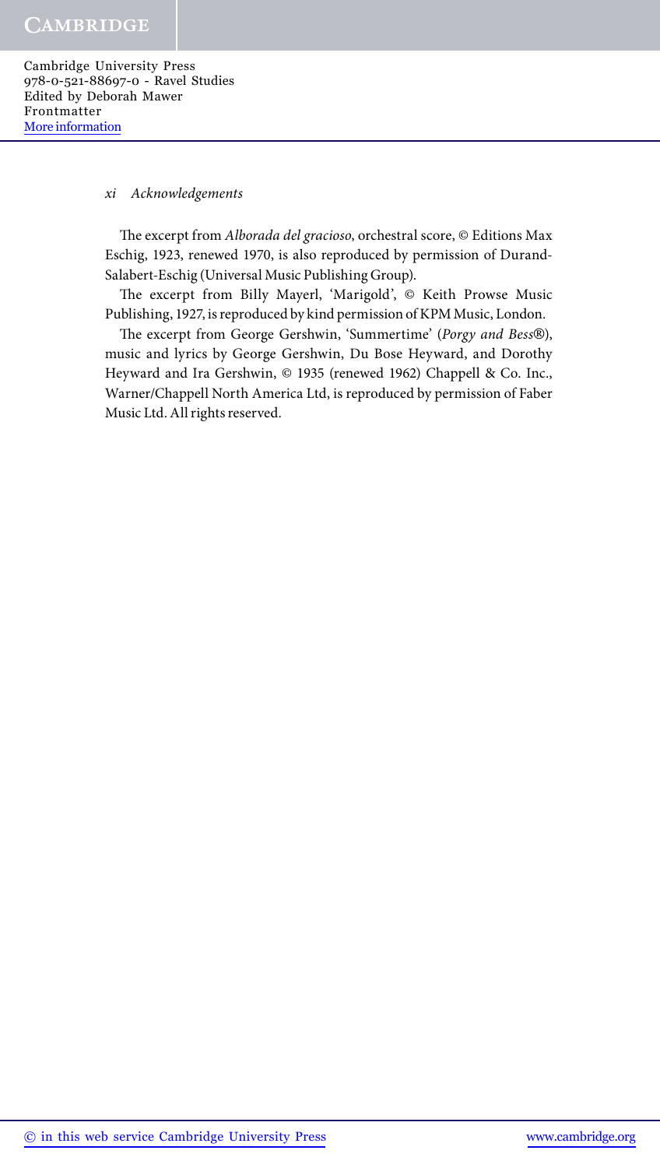#### *xi Acknowledgements*

The excerpt from *Alborada del gracioso*, orchestral score, © Editions Max Eschig, 1923, renewed 1970, is also reproduced by permission of Durand-Salabert-Eschig (Universal Music Publishing Group).

The excerpt from Billy Mayerl, 'Marigold', © Keith Prowse Music Publishing, 1927, is reproduced by kind permission of KPM Music, London.

The excerpt from George Gershwin, 'Summertime' (*Porgy and Bess*®), music and lyrics by George Gershwin, Du Bose Heyward, and Dorothy Heyward and Ira Gershwin, © 1935 (renewed 1962) Chappell & Co. Inc., Warner/Chappell North America Ltd, is reproduced by permission of Faber Music Ltd. All rights reserved.